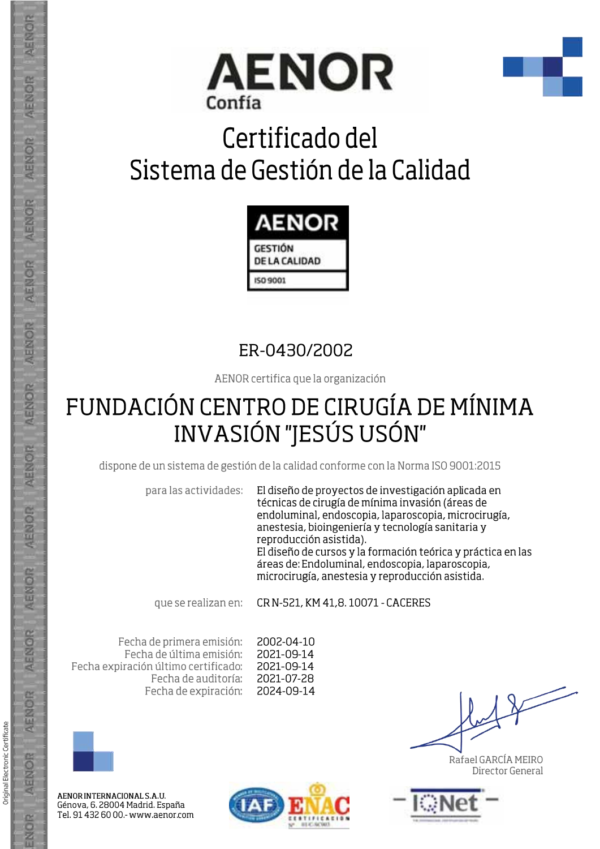



## Certificado del Sistema de Gestión de la Calidad



#### ER-0430/2002

AENOR certifica que la organización

### FUNDACIÓN CENTRO DE CIRUGÍA DE MÍNIMA **INVASIÓN "JESÚS USÓN"**

dispone de un sistema de gestión de la calidad conforme con la Norma ISO 9001:2015

para las actividades:

El diseño de proyectos de investigación aplicada en técnicas de cirugía de mínima invasión (áreas de endoluminal, endoscopia, laparoscopia, microcirugía, anestesia, bioingeniería y tecnología sanitaria y reproducción asistida). El diseño de cursos y la formación teórica y práctica en las áreas de: Endoluminal, endoscopia, laparoscopia, microcirugía, anestesia y reproducción asistida.

que se realizan en:

CR N-521, KM 41.8, 10071 - CACERES

Fecha de primera emisión: Fecha de última emisión: Fecha expiración último certificado: Fecha de auditoría: Fecha de expiración:

2002-04-10 2021-09-14 2021-09-14 2021-07-28 2024-09-14



AENOR INTERNACIONAL S.A.U. Génova, 6. 28004 Madrid. España Tel. 91 432 60 00 .- www.aenor.com



Rafael GARCÍA MEIRO Director General



**AENOR** 

**AENOR** 

Original Electronic Certificate